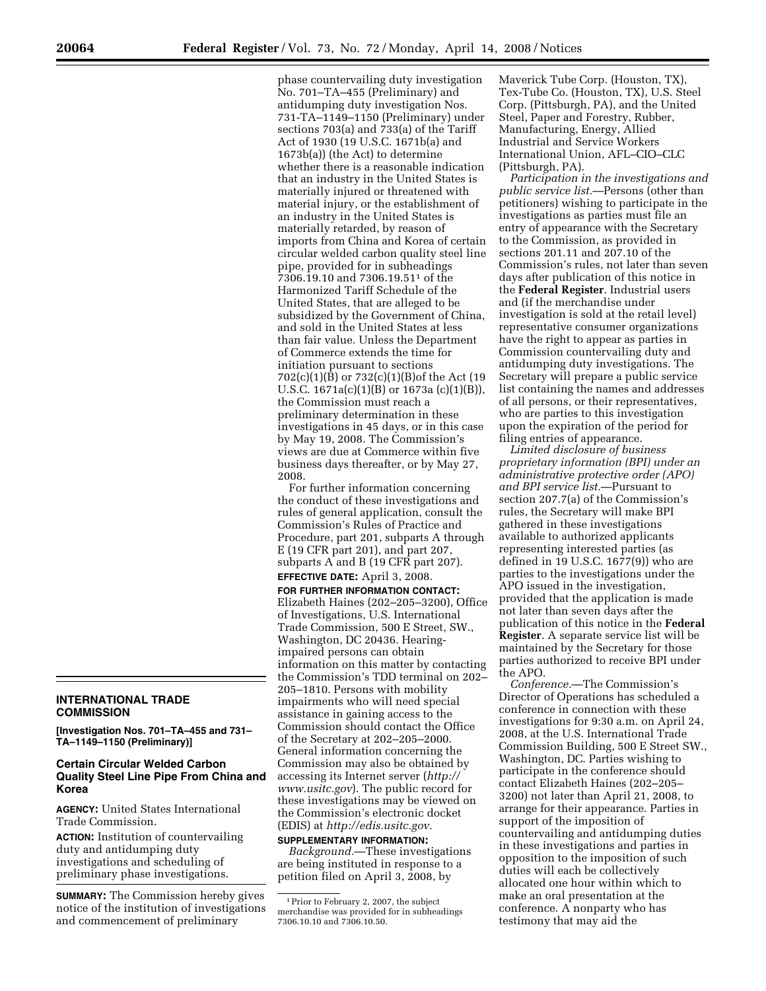## **INTERNATIONAL TRADE COMMISSION**

**[Investigation Nos. 701–TA–455 and 731– TA–1149–1150 (Preliminary)]** 

## **Certain Circular Welded Carbon Quality Steel Line Pipe From China and Korea**

**AGENCY:** United States International Trade Commission.

**ACTION:** Institution of countervailing duty and antidumping duty investigations and scheduling of preliminary phase investigations.

**SUMMARY:** The Commission hereby gives notice of the institution of investigations and commencement of preliminary

phase countervailing duty investigation No. 701–TA–455 (Preliminary) and antidumping duty investigation Nos. 731-TA–1149–1150 (Preliminary) under sections 703(a) and 733(a) of the Tariff Act of 1930 (19 U.S.C. 1671b(a) and 1673b(a)) (the Act) to determine whether there is a reasonable indication that an industry in the United States is materially injured or threatened with material injury, or the establishment of an industry in the United States is materially retarded, by reason of imports from China and Korea of certain circular welded carbon quality steel line pipe, provided for in subheadings 7306.19.10 and 7306.19.511 of the Harmonized Tariff Schedule of the United States, that are alleged to be subsidized by the Government of China, and sold in the United States at less than fair value. Unless the Department of Commerce extends the time for initiation pursuant to sections 702(c)(1)(B) or 732(c)(1)(B)of the Act (19 U.S.C. 1671a(c)(1)(B) or 1673a (c)(1)(B)), the Commission must reach a preliminary determination in these investigations in 45 days, or in this case by May 19, 2008. The Commission's views are due at Commerce within five business days thereafter, or by May 27, 2008.

For further information concerning the conduct of these investigations and rules of general application, consult the Commission's Rules of Practice and Procedure, part 201, subparts A through E (19 CFR part 201), and part 207, subparts A and B (19 CFR part 207). **EFFECTIVE DATE:** April 3, 2008.

**FOR FURTHER INFORMATION CONTACT:**  Elizabeth Haines (202–205–3200), Office of Investigations, U.S. International Trade Commission, 500 E Street, SW., Washington, DC 20436. Hearingimpaired persons can obtain information on this matter by contacting the Commission's TDD terminal on 202– 205–1810. Persons with mobility impairments who will need special assistance in gaining access to the Commission should contact the Office of the Secretary at 202–205–2000. General information concerning the Commission may also be obtained by accessing its Internet server (*http:// www.usitc.gov*). The public record for these investigations may be viewed on the Commission's electronic docket (EDIS) at *http://edis.usitc.gov.* 

## **SUPPLEMENTARY INFORMATION:**

*Background.*—These investigations are being instituted in response to a petition filed on April 3, 2008, by

Maverick Tube Corp. (Houston, TX), Tex-Tube Co. (Houston, TX), U.S. Steel Corp. (Pittsburgh, PA), and the United Steel, Paper and Forestry, Rubber, Manufacturing, Energy, Allied Industrial and Service Workers International Union, AFL–CIO–CLC (Pittsburgh, PA).

*Participation in the investigations and public service list.*—Persons (other than petitioners) wishing to participate in the investigations as parties must file an entry of appearance with the Secretary to the Commission, as provided in sections 201.11 and 207.10 of the Commission's rules, not later than seven days after publication of this notice in the **Federal Register**. Industrial users and (if the merchandise under investigation is sold at the retail level) representative consumer organizations have the right to appear as parties in Commission countervailing duty and antidumping duty investigations. The Secretary will prepare a public service list containing the names and addresses of all persons, or their representatives, who are parties to this investigation upon the expiration of the period for filing entries of appearance.

*Limited disclosure of business proprietary information (BPI) under an administrative protective order (APO) and BPI service list.*—Pursuant to section 207.7(a) of the Commission's rules, the Secretary will make BPI gathered in these investigations available to authorized applicants representing interested parties (as defined in 19 U.S.C. 1677(9)) who are parties to the investigations under the APO issued in the investigation, provided that the application is made not later than seven days after the publication of this notice in the **Federal Register**. A separate service list will be maintained by the Secretary for those parties authorized to receive BPI under the APO.

*Conference.*—The Commission's Director of Operations has scheduled a conference in connection with these investigations for 9:30 a.m. on April 24, 2008, at the U.S. International Trade Commission Building, 500 E Street SW., Washington, DC. Parties wishing to participate in the conference should contact Elizabeth Haines (202–205– 3200) not later than April 21, 2008, to arrange for their appearance. Parties in support of the imposition of countervailing and antidumping duties in these investigations and parties in opposition to the imposition of such duties will each be collectively allocated one hour within which to make an oral presentation at the conference. A nonparty who has testimony that may aid the

<sup>1</sup>Prior to February 2, 2007, the subject merchandise was provided for in subheadings 7306.10.10 and 7306.10.50.